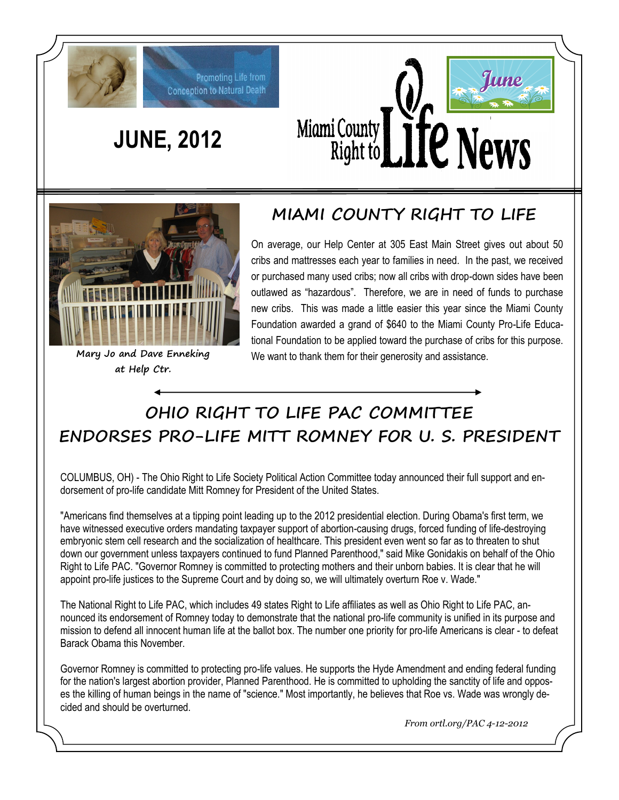

# **JUNE, 2012**

Promoting Life from **Conception to Natural Death** 





**at Help Ctr.**

#### **MIAMI COUNTY RIGHT TO LIFE**

On average, our Help Center at 305 East Main Street gives out about 50 cribs and mattresses each year to families in need. In the past, we received or purchased many used cribs; now all cribs with drop-down sides have been outlawed as "hazardous". Therefore, we are in need of funds to purchase new cribs. This was made a little easier this year since the Miami County Foundation awarded a grand of \$640 to the Miami County Pro-Life Educational Foundation to be applied toward the purchase of cribs for this purpose. **Mary Jo and Dave Enneking** We want to thank them for their generosity and assistance.

### **OHIO RIGHT TO LIFE PAC COMMITTEE ENDORSES PRO-LIFE MITT ROMNEY FOR U. S. PRESIDENT**

COLUMBUS, OH) - The Ohio Right to Life Society Political Action Committee today announced their full support and endorsement of pro-life candidate Mitt Romney for President of the United States.

"Americans find themselves at a tipping point leading up to the 2012 presidential election. During Obama's first term, we have witnessed executive orders mandating taxpayer support of abortion-causing drugs, forced funding of life-destroying embryonic stem cell research and the socialization of healthcare. This president even went so far as to threaten to shut down our government unless taxpayers continued to fund Planned Parenthood," said Mike Gonidakis on behalf of the Ohio Right to Life PAC. "Governor Romney is committed to protecting mothers and their unborn babies. It is clear that he will appoint pro-life justices to the Supreme Court and by doing so, we will ultimately overturn Roe v. Wade."

The National Right to Life PAC, which includes 49 states Right to Life affiliates as well as Ohio Right to Life PAC, announced its endorsement of Romney today to demonstrate that the national pro-life community is unified in its purpose and mission to defend all innocent human life at the ballot box. The number one priority for pro-life Americans is clear - to defeat Barack Obama this November.

Governor Romney is committed to protecting pro-life values. He supports the Hyde Amendment and ending federal funding for the nation's largest abortion provider, Planned Parenthood. He is committed to upholding the sanctity of life and opposes the killing of human beings in the name of "science." Most importantly, he believes that Roe vs. Wade was wrongly decided and should be overturned.

*From ortl.org/PAC 4-12-2012*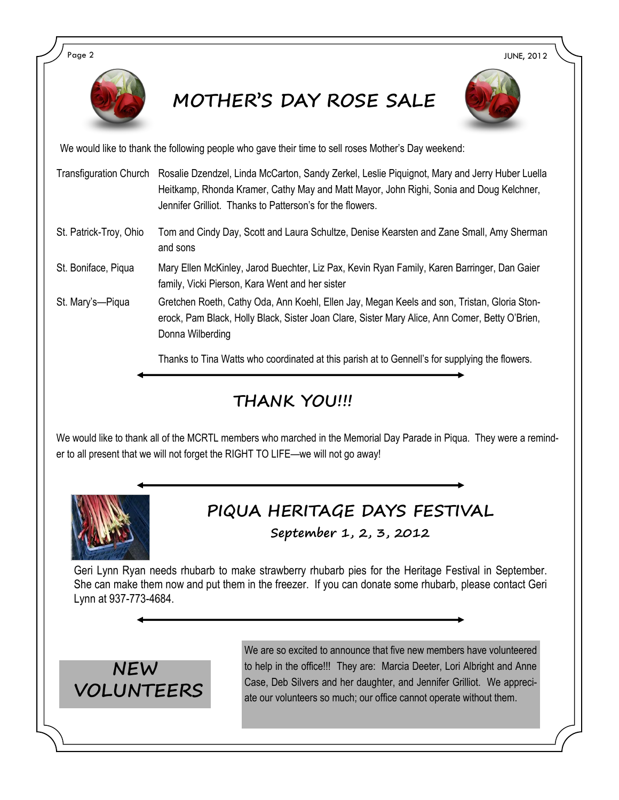

## **MOTHER'S DAY ROSE SALE**



We would like to thank the following people who gave their time to sell roses Mother's Day weekend:

- Transfiguration Church Rosalie Dzendzel, Linda McCarton, Sandy Zerkel, Leslie Piquignot, Mary and Jerry Huber Luella Heitkamp, Rhonda Kramer, Cathy May and Matt Mayor, John Righi, Sonia and Doug Kelchner, Jennifer Grilliot. Thanks to Patterson's for the flowers.
- St. Patrick-Troy, Ohio Tom and Cindy Day, Scott and Laura Schultze, Denise Kearsten and Zane Small, Amy Sherman and sons
- St. Boniface, Piqua Mary Ellen McKinley, Jarod Buechter, Liz Pax, Kevin Ryan Family, Karen Barringer, Dan Gaier family, Vicki Pierson, Kara Went and her sister
- St. Mary's—Piqua Gretchen Roeth, Cathy Oda, Ann Koehl, Ellen Jay, Megan Keels and son, Tristan, Gloria Stonerock, Pam Black, Holly Black, Sister Joan Clare, Sister Mary Alice, Ann Comer, Betty O'Brien, Donna Wilberding

Thanks to Tina Watts who coordinated at this parish at to Gennell's for supplying the flowers.

#### **THANK YOU!!!**

We would like to thank all of the MCRTL members who marched in the Memorial Day Parade in Piqua. They were a reminder to all present that we will not forget the RIGHT TO LIFE—we will not go away!



## **PIQUA HERITAGE DAYS FESTIVAL**

**September 1, 2, 3, 2012**

Geri Lynn Ryan needs rhubarb to make strawberry rhubarb pies for the Heritage Festival in September. She can make them now and put them in the freezer. If you can donate some rhubarb, please contact Geri Lynn at 937-773-4684.



We are so excited to announce that five new members have volunteered to help in the office!!! They are: Marcia Deeter, Lori Albright and Anne Case, Deb Silvers and her daughter, and Jennifer Grilliot. We appreciate our volunteers so much; our office cannot operate without them.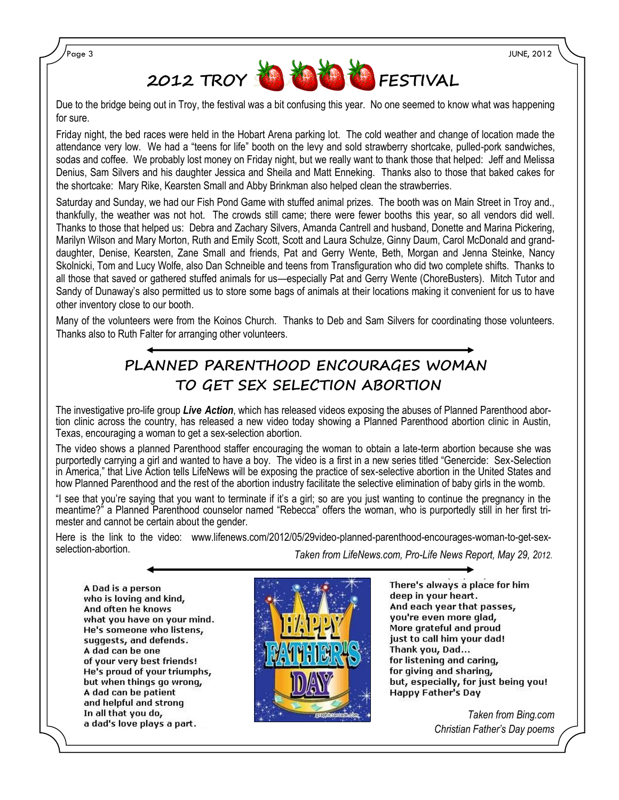

Due to the bridge being out in Troy, the festival was a bit confusing this year. No one seemed to know what was happening for sure.

Friday night, the bed races were held in the Hobart Arena parking lot. The cold weather and change of location made the attendance very low. We had a "teens for life" booth on the levy and sold strawberry shortcake, pulled-pork sandwiches, sodas and coffee. We probably lost money on Friday night, but we really want to thank those that helped: Jeff and Melissa Denius, Sam Silvers and his daughter Jessica and Sheila and Matt Enneking. Thanks also to those that baked cakes for the shortcake: Mary Rike, Kearsten Small and Abby Brinkman also helped clean the strawberries.

Saturday and Sunday, we had our Fish Pond Game with stuffed animal prizes. The booth was on Main Street in Troy and., thankfully, the weather was not hot. The crowds still came; there were fewer booths this year, so all vendors did well. Thanks to those that helped us: Debra and Zachary Silvers, Amanda Cantrell and husband, Donette and Marina Pickering, Marilyn Wilson and Mary Morton, Ruth and Emily Scott, Scott and Laura Schulze, Ginny Daum, Carol McDonald and granddaughter, Denise, Kearsten, Zane Small and friends, Pat and Gerry Wente, Beth, Morgan and Jenna Steinke, Nancy Skolnicki, Tom and Lucy Wolfe, also Dan Schneible and teens from Transfiguration who did two complete shifts. Thanks to all those that saved or gathered stuffed animals for us—especially Pat and Gerry Wente (ChoreBusters). Mitch Tutor and Sandy of Dunaway's also permitted us to store some bags of animals at their locations making it convenient for us to have other inventory close to our booth.

Many of the volunteers were from the Koinos Church. Thanks to Deb and Sam Silvers for coordinating those volunteers. Thanks also to Ruth Falter for arranging other volunteers.

#### **PLANNED PARENTHOOD ENCOURAGES WOMAN TO GET SEX SELECTION ABORTION**

The investigative pro-life group *Live Action*, which has released videos exposing the abuses of Planned Parenthood abortion clinic across the country, has released a new video today showing a Planned Parenthood abortion clinic in Austin, Texas, encouraging a woman to get a sex-selection abortion.

The video shows a planned Parenthood staffer encouraging the woman to obtain a late-term abortion because she was purportedly carrying a girl and wanted to have a boy. The video is a first in a new series titled "Genercide: Sex-Selection in America," that Live Action tells LifeNews will be exposing the practice of sex-selective abortion in the United States and how Planned Parenthood and the rest of the abortion industry facilitate the selective elimination of baby girls in the womb.

"I see that you're saying that you want to terminate if it's a girl; so are you just wanting to continue the pregnancy in the meantime?" a Planned Parenthood counselor named "Rebecca" offers the woman, who is purportedly still in her first trimester and cannot be certain about the gender.

Here is the link to the video: www.lifenews.com/2012/05/29video-planned-parenthood-encourages-woman-to-get-sexselection-abortion. *Taken from LifeNews.com, Pro-Life News Report, May 29, 2012*.

A Dad is a person who is loving and kind, And often he knows what you have on your mind. He's someone who listens, suggests, and defends. A dad can be one of your very best friends! He's proud of your triumphs, but when things go wrong, A dad can be patient and helpful and strong In all that you do, a dad's love plays a part.



There's always a place for him deep in your heart. And each year that passes, you're even more glad, More grateful and proud just to call him your dad! Thank you, Dad... for listening and caring, for giving and sharing, but, especially, for just being you! Happy Father's Day

> *Taken from Bing.com Christian Father's Day poems*